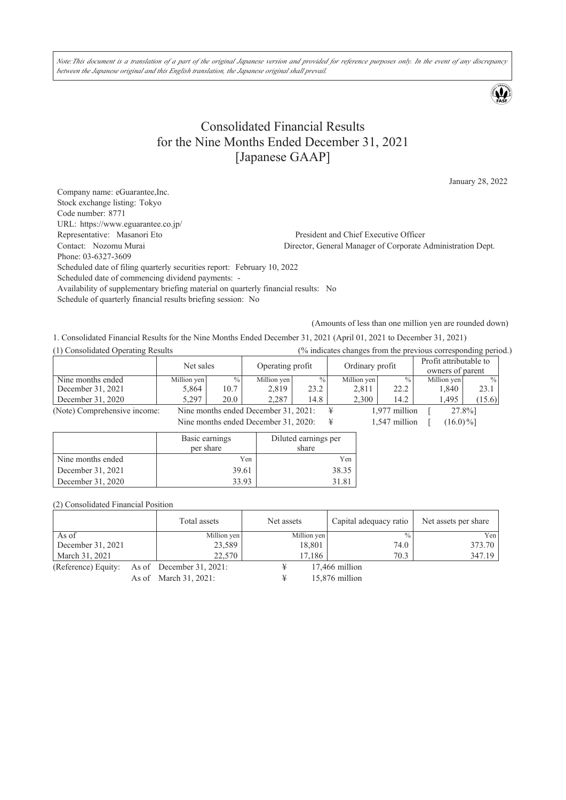Note:This document is a translation of a part of the original Japanese version and provided for reference purposes only. In the event of any discrepancy *between the Japanese original and this English translation, the Japanese original shall prevail.*

# Consolidated Financial Results for the Nine Months Ended December 31, 2021 [Japanese GAAP]

January 28, 2022

Company name: eGuarantee,Inc. Stock exchange listing: Tokyo Code number: 8771 URL: https://www.eguarantee.co.jp/ Representative: Masanori Eto President and Chief Executive Officer<br>
Contact: Nozomu Murai Director, General Manager of Corporate A Director, General Manager of Corporate Administration Dept. Phone: 03-6327-3609 Scheduled date of filing quarterly securities report: February 10, 2022 Scheduled date of commencing dividend payments: - Availability of supplementary briefing material on quarterly financial results: No Schedule of quarterly financial results briefing session: No

(Amounts of less than one million yen are rounded down)

1. Consolidated Financial Results for the Nine Months Ended December 31, 2021 (April 01, 2021 to December 31, 2021)

| (1) Consolidated Operating Results |             |               |                                      |               |  |                 |                  | (% indicates changes from the previous corresponding period.) |               |  |
|------------------------------------|-------------|---------------|--------------------------------------|---------------|--|-----------------|------------------|---------------------------------------------------------------|---------------|--|
|                                    | Net sales   |               |                                      |               |  | Ordinary profit |                  | Profit attributable to                                        |               |  |
|                                    |             |               | Operating profit                     |               |  |                 | owners of parent |                                                               |               |  |
| Nine months ended                  | Million yen | $\frac{0}{0}$ | Million yen                          | $\frac{0}{0}$ |  | Million yen     | $\frac{0}{0}$    | Million yen                                                   | $\frac{0}{0}$ |  |
| December 31, 2021                  | 5,864       | 10.7          | 2,819                                | 23.2          |  | 2,811           | 22.2             | 1.840                                                         | 23.1          |  |
| December 31, 2020                  | 5.297       | 20.0          | 2.287                                | 14.8          |  | 2.300           | 14.2             | 1.495                                                         | (15.6)        |  |
| (Note) Comprehensive income:       |             |               | Nine months ended December 31, 2021: |               |  |                 | 1,977 million    | 27.8%                                                         |               |  |
|                                    |             |               | Nine months ended December 31, 2020: |               |  |                 | 1,547 million    | $(16.0)\%$                                                    |               |  |

|                   | Basic earnings<br>per share | Diluted earnings per<br>share |
|-------------------|-----------------------------|-------------------------------|
| Nine months ended | Yen                         | Yen                           |
| December 31, 2021 | 39.61                       | 38.35                         |
| December 31, 2020 | 33.93                       |                               |

(2) Consolidated Financial Position

|                                              | Total assets | Net assets  | Capital adequacy ratio | Net assets per share |
|----------------------------------------------|--------------|-------------|------------------------|----------------------|
| As of                                        | Million yen  | Million yen | $\frac{0}{0}$          | Yen                  |
| December 31, 2021                            | 23,589       | 18,801      | 74.0                   | 373.70               |
| March 31, 2021                               | 22,570       | 17.186      | 70.3                   | 347.19               |
| (Reference) Equity: As of December 31, 2021: |              |             | $17.466$ million       |                      |

As of March 31, 2021: ¥ 15,876 million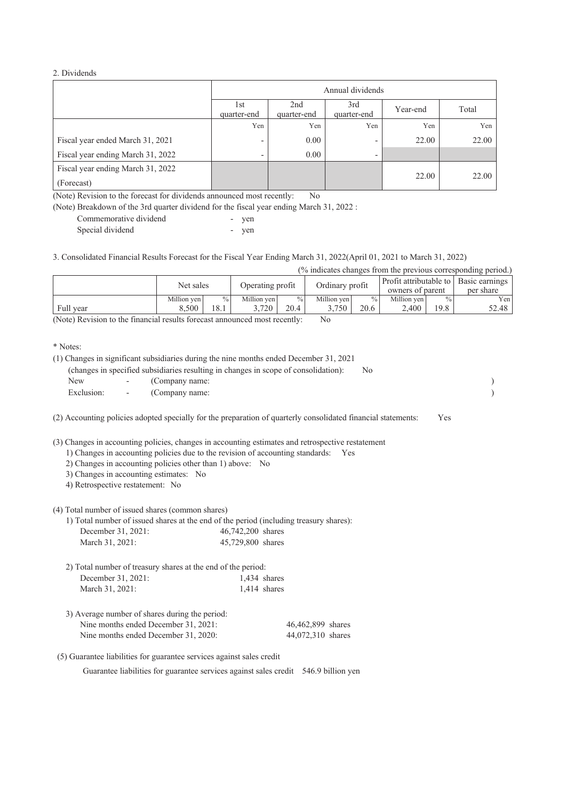#### 2. Dividends

|                                   | Annual dividends         |                                                               |     |       |       |  |  |  |
|-----------------------------------|--------------------------|---------------------------------------------------------------|-----|-------|-------|--|--|--|
|                                   | 1st<br>quarter-end       | 2nd<br>3rd<br>Total<br>Year-end<br>quarter-end<br>quarter-end |     |       |       |  |  |  |
|                                   | Yen                      | Yen                                                           | Yen | Yen   | Yen   |  |  |  |
| Fiscal year ended March 31, 2021  | $\overline{\phantom{0}}$ | 0.00                                                          | ٠   | 22.00 | 22.00 |  |  |  |
| Fiscal year ending March 31, 2022 | $\overline{\phantom{0}}$ | 0.00                                                          | ٠   |       |       |  |  |  |
| Fiscal year ending March 31, 2022 |                          |                                                               |     | 22.00 | 22.00 |  |  |  |
| (Forecast)                        |                          |                                                               |     |       |       |  |  |  |

(Note) Revision to the forecast for dividends announced most recently: No

(Note) Breakdown of the 3rd quarter dividend for the fiscal year ending March 31, 2022 :

| Commemorative dividend | - yen |
|------------------------|-------|
| Special dividend       | - ven |

3. Consolidated Financial Results Forecast for the Fiscal Year Ending March 31, 2022(April 01, 2021 to March 31, 2022)

|           |             |      |                  |               |                 |      |                  |      | (% indicates changes from the previous corresponding period.) |
|-----------|-------------|------|------------------|---------------|-----------------|------|------------------|------|---------------------------------------------------------------|
|           | Net sales   |      | Operating profit |               | Ordinary profit |      | owners of parent |      | Profit attributable to   Basic earnings  <br>per share        |
|           | Million ven | $\%$ | Million ven      | $\frac{0}{0}$ | Million ven     | $\%$ | Million ven      | $\%$ | Yen                                                           |
| Full year | 8.500       | 18.1 | 3.720            | 20.4          | 3.750           | 20.6 | 2.400            | 19.8 | 52.48                                                         |

(Note) Revision to the financial results forecast announced most recently: No

\* Notes:

|            |        | (1) Changes in significant subsidiaries during the nine months ended December 31, 2021                               |  |
|------------|--------|----------------------------------------------------------------------------------------------------------------------|--|
|            |        | (changes in specified subsidiaries resulting in changes in scope of consolidation):<br>No.                           |  |
| New        |        | (Company name:                                                                                                       |  |
| Exclusion: | $\sim$ | (Company name:                                                                                                       |  |
|            |        |                                                                                                                      |  |
|            |        | (2) Accounting policies adopted specially for the preparation of quarterly consolidated financial statements:<br>Yes |  |
|            |        | (3) Changes in accounting policies, changes in accounting estimates and retrospective restatement                    |  |
|            |        | 1) Changes in accounting policies due to the revision of accounting standards: Yes                                   |  |
|            |        | 2) Changes in accounting policies other than 1) above: No                                                            |  |
|            |        | 3) Changes in accounting estimates: No                                                                               |  |

4) Retrospective restatement: No

#### (4) Total number of issued shares (common shares)

|                    | 1) Total number of issued shares at the end of the period (including treasury shares): |
|--------------------|----------------------------------------------------------------------------------------|
| December 31, 2021: | 46,742,200 shares                                                                      |
| March 31, 2021:    | 45,729,800 shares                                                                      |

| 2) Total number of treasury shares at the end of the period: |                |
|--------------------------------------------------------------|----------------|
| December 31, 2021:                                           | $1.434$ shares |
| March 31, 2021:                                              | $1.414$ shares |

| 3) Average number of shares during the period: |                   |  |
|------------------------------------------------|-------------------|--|
| Nine months ended December 31, 2021:           | 46,462,899 shares |  |
| Nine months ended December 31, 2020:           | 44,072,310 shares |  |

(5) Guarantee liabilities for guarantee services against sales credit

Guarantee liabilities for guarantee services against sales credit 546.9 billion yen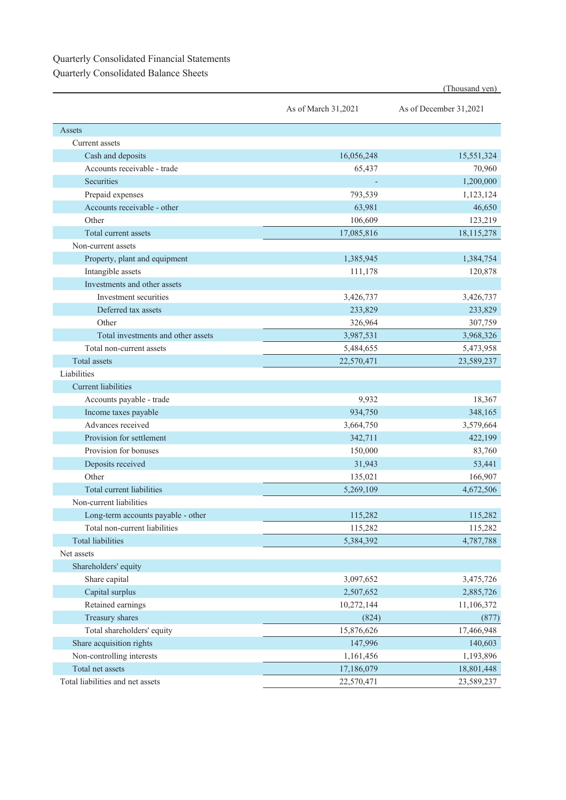## Quarterly Consolidated Financial Statements

Quarterly Consolidated Balance Sheets

|                                    | As of March 31,2021 | As of December 31,2021 |
|------------------------------------|---------------------|------------------------|
| Assets                             |                     |                        |
| Current assets                     |                     |                        |
| Cash and deposits                  | 16,056,248          | 15,551,324             |
| Accounts receivable - trade        | 65,437              | 70,960                 |
| Securities                         |                     | 1,200,000              |
| Prepaid expenses                   | 793,539             | 1,123,124              |
| Accounts receivable - other        | 63,981              | 46,650                 |
| Other                              | 106,609             | 123,219                |
| Total current assets               | 17,085,816          | 18, 115, 278           |
| Non-current assets                 |                     |                        |
| Property, plant and equipment      | 1,385,945           | 1,384,754              |
| Intangible assets                  | 111,178             | 120,878                |
| Investments and other assets       |                     |                        |
| Investment securities              | 3,426,737           | 3,426,737              |
| Deferred tax assets                | 233,829             | 233,829                |
| Other                              | 326,964             | 307,759                |
| Total investments and other assets | 3,987,531           | 3,968,326              |
| Total non-current assets           | 5,484,655           | 5,473,958              |
| <b>Total</b> assets                | 22,570,471          | 23,589,237             |
| Liabilities                        |                     |                        |
| <b>Current liabilities</b>         |                     |                        |
| Accounts payable - trade           | 9,932               | 18,367                 |
| Income taxes payable               | 934,750             | 348,165                |
| Advances received                  | 3,664,750           | 3,579,664              |
| Provision for settlement           | 342,711             | 422,199                |
| Provision for bonuses              | 150,000             | 83,760                 |
| Deposits received                  | 31,943              | 53,441                 |
| Other                              | 135,021             | 166,907                |
| Total current liabilities          | 5,269,109           | 4,672,506              |
| Non-current liabilities            |                     |                        |
| Long-term accounts payable - other | 115,282             | 115,282                |
| Total non-current liabilities      | 115,282             | 115,282                |
| <b>Total liabilities</b>           | 5,384,392           | 4,787,788              |
| Net assets                         |                     |                        |
| Shareholders' equity               |                     |                        |
| Share capital                      | 3,097,652           | 3,475,726              |
| Capital surplus                    | 2,507,652           | 2,885,726              |
| Retained earnings                  | 10,272,144          | 11,106,372             |
| Treasury shares                    | (824)               | (877)                  |
| Total shareholders' equity         | 15,876,626          | 17,466,948             |
| Share acquisition rights           | 147,996             | 140,603                |
| Non-controlling interests          | 1,161,456           | 1,193,896              |
| Total net assets                   | 17,186,079          | 18,801,448             |
| Total liabilities and net assets   | 22,570,471          | 23,589,237             |

(Thousand yen)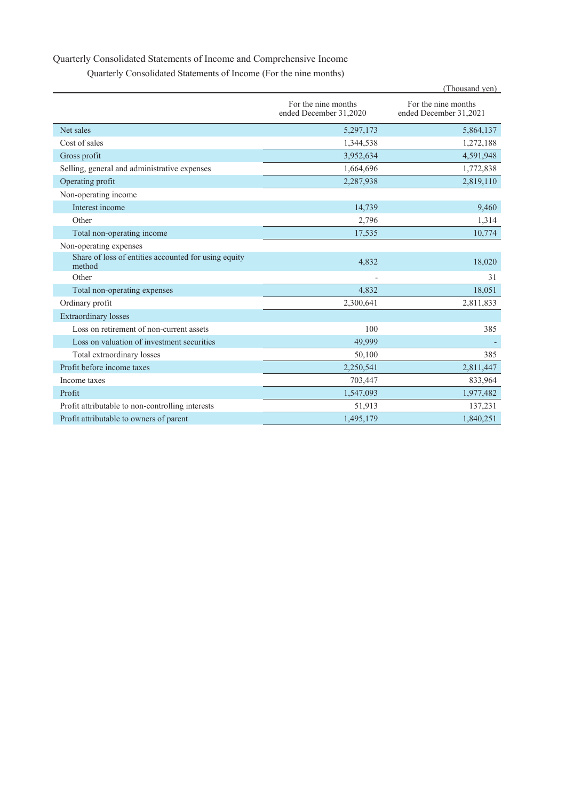#### Quarterly Consolidated Statements of Income and Comprehensive Income

Quarterly Consolidated Statements of Income (For the nine months)

|                                                                |                                               | (Thousand yen)                                |
|----------------------------------------------------------------|-----------------------------------------------|-----------------------------------------------|
|                                                                | For the nine months<br>ended December 31,2020 | For the nine months<br>ended December 31,2021 |
| Net sales                                                      | 5,297,173                                     | 5,864,137                                     |
| Cost of sales                                                  | 1,344,538                                     | 1,272,188                                     |
| Gross profit                                                   | 3,952,634                                     | 4,591,948                                     |
| Selling, general and administrative expenses                   | 1,664,696                                     | 1,772,838                                     |
| Operating profit                                               | 2,287,938                                     | 2,819,110                                     |
| Non-operating income                                           |                                               |                                               |
| Interest income                                                | 14,739                                        | 9,460                                         |
| Other                                                          | 2,796                                         | 1,314                                         |
| Total non-operating income                                     | 17,535                                        | 10,774                                        |
| Non-operating expenses                                         |                                               |                                               |
| Share of loss of entities accounted for using equity<br>method | 4,832                                         | 18,020                                        |
| Other                                                          |                                               | 31                                            |
| Total non-operating expenses                                   | 4,832                                         | 18,051                                        |
| Ordinary profit                                                | 2,300,641                                     | 2,811,833                                     |
| <b>Extraordinary</b> losses                                    |                                               |                                               |
| Loss on retirement of non-current assets                       | 100                                           | 385                                           |
| Loss on valuation of investment securities                     | 49.999                                        |                                               |
| Total extraordinary losses                                     | 50,100                                        | 385                                           |
| Profit before income taxes                                     | 2,250,541                                     | 2,811,447                                     |
| Income taxes                                                   | 703,447                                       | 833,964                                       |
| Profit                                                         | 1,547,093                                     | 1,977,482                                     |
| Profit attributable to non-controlling interests               | 51,913                                        | 137,231                                       |
| Profit attributable to owners of parent                        | 1,495,179                                     | 1,840,251                                     |